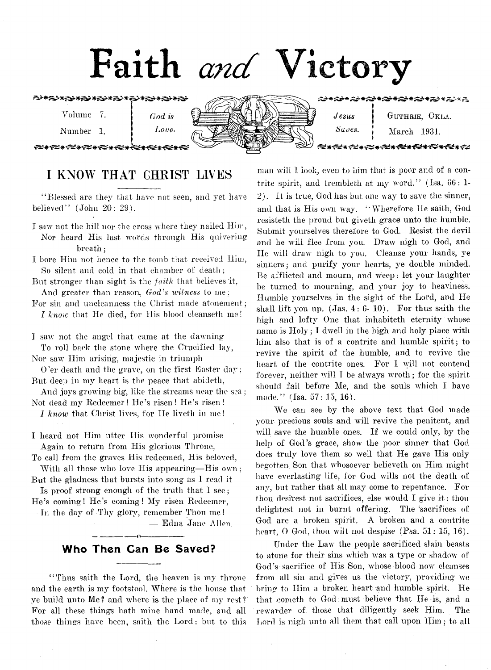# **Faith** *and* **Victory**



# **I KNOW THAT GHRIST LWES**

"Blessed are they that have not seen, and yet have believed'' (John 20: 29).

- 1 saw not the hill nor the cross where they nailed Him, Nor heard His last words through His quivering breath;
- I bore Him not hence to the tomb that received Him, So silent and cold in that chamber of death;
- But stronger than sight is the *faith* that believes it-, And greater than reason, *God's witness* to me;
- For sin and uneleanness the Christ made atonement ; *I know* that He died, for His blood eleanseth me!

I saw not the angel that came at the dawning To roll back the stone where the Crucified lay, Nor saw Him arising, majestic in triumph

0 'er death and the grave, on the first Easter day; But deep in my heart is the peace that abideth,

And joys growing big, like the streams near the sea; Not dead my Redeemer! He's risen! He's risen!

*1 know* that Christ lives, for He liveth in me!

I heard not Him utter Ilis wonderful promise Again to return from His glorious Throne,

To call from the graves His redeemed, His beloved, With all those who love His appearing—His own;

But the gladness that bursts into song as I read it Is proof strong enough of the truth that I see;

He's coming! He's coming! My risen Redeemer,

In the day of Thy glory, remember Thou me! — Edna Jane Allen.

# ---------------- o----------------- Who Then Can Be Saved?

"Thus saith the Lord, the heaven is my throne and the earth is my footstool. Where is the house that ye build unto Me? and where is the place of my rest? For all these things hath mine hand made, and all those things have been, saith the Lord: but to this

man will I look, even to him that is poor and of a contrite spirit, and trembleth at my word." (Isa.  $66:1$ -2). It is true, God lias but one way to save the sinner, and that is His own way. " Wherefore He saith, God resisteth the proud but giveth grace unto the humble. Submit yourselves therefore to God. Resist the devil and he will flee from you. Draw nigh to God, and He will draw' nigh to you. Cleanse your hands, ye sinners; and purify your hearts, ye double minded. Be afflicted and mourn, and weep: let your laughter be turned to mourning, and your joy to heaviness. Humble yourselves in the sight of the Lord, and He shall lift you up.  $(Jas. 4: 6-10)$ . For thus saith the high and lofty One that inhabiteth eternity whose name is  $Holy$ ; I dwell in the high and holy place with him also that is of a contrite and humble spirit; to revive the spirit of the humble, and to revive the heart of the contrite ones. For I will not contend forever, neither will I be always wroth; for the spirit should fail before Me, and the souls which I have made."  $(Isa. 57: 15, 16)$ .

We can see by the above text that God made your precious souls and will revive the penitent, and will save the humble ones. If we could only, by the help of God's grace, show the poor sinner that God does truly love them so well that He gave His only begotten, Son that whosoever believeth on Him might have everlasting life, for God wills not the death of any, but rather that all may come to repentance. For thou desirest not sacrifices, else would I give it : thou delightest not in burnt offering. The 'sacrifices of God are a broken spirit. A broken and a contrite heart,  $\Theta$  God, thou wilt not despise (Psa.  $51: 15, 16$ ).

Under the Law the people sacrificed slain beasts to atone for their sins which was a type or shadow' of God's sacrifice of His Son, whose blood now cleanses from all sin and gives us the victory, providing we bring to Him a broken heart and humble spirit. He that cometh to God must believe that lie is, and a rewarder of those that diligently seek Him. The Lord is nigh unto all them that call upon Him ; to all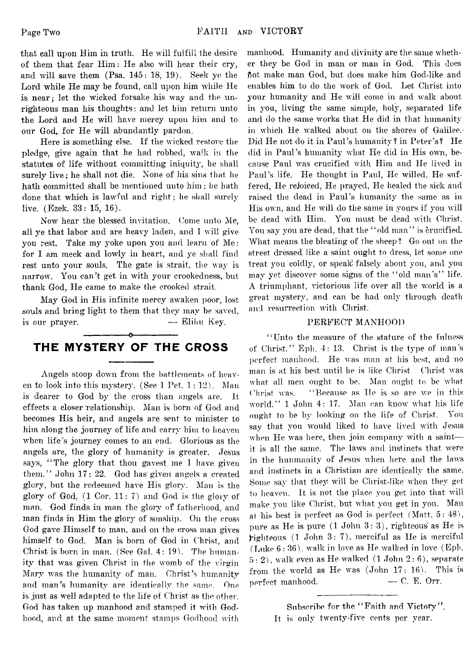that call upon Him in truth. He will fulfill the desire of them that fear Him: He also will hear their cry, and will save them (Psa. 145: 18, 19). Seek ye the Lord while He may be found, call upon him while He is near; let the wicked forsake his way and the unrighteous man his thoughts: and let him return unto the Lord and He will have mercy upon him and to our God, for He will abundantly pardon.

Here is something else. If the wicked restore the pledge, give again that he had robbed, walk in the statutes of life without committing iniquity, he shall surely live; he shall not die. None of his sins that he hath committed shall be mentioned unto him ; he hath done that which is lawful and right; he shall surely live. (Ezek. 83: 15, 16).

Now hear the blessed invitation. Come unto Me, all ye that labor and are heavy laden, and I will give you rest. Take my yoke upon you and learn of Me: for I am meek and lowly in heart, and ye shall find rest unto your souls. The gate is strait, the way is narrow. You can't get in with your crookedness, but thank God, He came to make the crooked strait.

May God in His infinite mercy awaken poor, lost souls and bring light to them that they may be saved, is our prayer.  $\qquad \qquad \qquad$  Elihu Key.

### -----------------o----------------- THE MYSTERY OF THE CROSS

Angels stoop down from the battlements of heaven to look into this mystery. (See 1 Pet. 1: 12). Man is dearer to God by the cross than angels are. It effects a closer relationship. Man is born of God and becomes His heir, and angels are sent to minister to him along the journey of life and carry him to heaven when life's journey comes to an end. Glorious as the angels are, the glory of humanity is greater. Jesus says, "The glory that thou gavest me'I have given them." John 17: 22. God has given angels a created glory, but the redeemed have His glory. Man is the glory of God,  $(1 \text{ Cor. } 11: 7)$  and God is the glory of man. God finds in man the glory of fatherhood, and man finds in Him the glory of sonship. On the cross God gave Himself to man, and on the cross man gives himself to God. Man is born of God in Christ, and Christ is born in man. (See Gal.  $4:19$ ). The humanity that was given Christ in the womb of the virgin Mary was the humanity of man. Christ's humanity and man's humanity are identically the same. One is just as well adapted to the life of Christ as the other. God has taken up manhood and stamped it with Godhood, and at the same moment stamps Godhood with

manhood. Humanity and divinity are the same whether they be God in man. or man in God. This does hot make man God, but does make him God-like and enables him to do the work of God. Let Christ into your humanity and He will come in and walk about in you, living the same simple, holy, separated life and do the same works that He did in that humanity in which He walked about on the shores of Galilee.-Did He not do it in Paul's humanity? in Peter's? He did in Paul's humanity what He did in His own, because Paul was crucified with Him and He lived in Paul's life. He thought in Paul, He willed, He suffered, He rejoiced, He prayed, He healed the sick and raised the dead in Paul's humanity the same as in His own, and He will do the same in yours if you will be dead with Him. You must be dead with Christ. You say you are dead, that the "old man" is crucified. What means the bleating of the sheep ? Go out on the street dressed, like a saint ought to dress, let some one treat you coldly, or speak falsely about you, and you may yet discover some signs of the " old man's" life. A triumphant, victorious life over all the world is a great mystery, and can be had only through death and resurrection with Christ.

#### PERFECT MANHOOD

" Unto the measure of the stature of the fulness of Christ," Eph. 4: 13. Christ is the type of man's perfect manhood. He was man at his best, and no man is at his best until he is like Christ Christ was what all men ought to be. Man ought to be what Christ was. "Because as He is so are we in this world." 1 John 4: 17. Man can know what his life ought to be by looking on the life of Christ. You sav that you would liked to have lived with Jesus when He was here, then join company with a saint it is all the same. The laws and instincts that were in the hunmanity of Jesus when here and the laws and instincts in a Christian are identically the same. Some say that they will be Christ-like when they get to heaven. It is not the place you get into that will make you like Christ, but what you get in you. Man at his best is perfect as God is perfect (Matt. 5: 48), pure as He is pure  $(1$  John  $3:3)$ , righteous' as He is  ${\bf right}$ eous (1 John 3:7), merciful as He is merciful (Luke  $6:36$ ), walk in love as He walked in love (Eph.  $5: 2$ ), walk even as He walked (1 John  $2: 6$ ), separate from the world as He was  $(John 17: 16)$ . This is perfect manhood.  $\hspace{1.6cm}$  - C. E. Orr.

Subscribe for the "Faith and Victory". It is only twenty-five cents per year.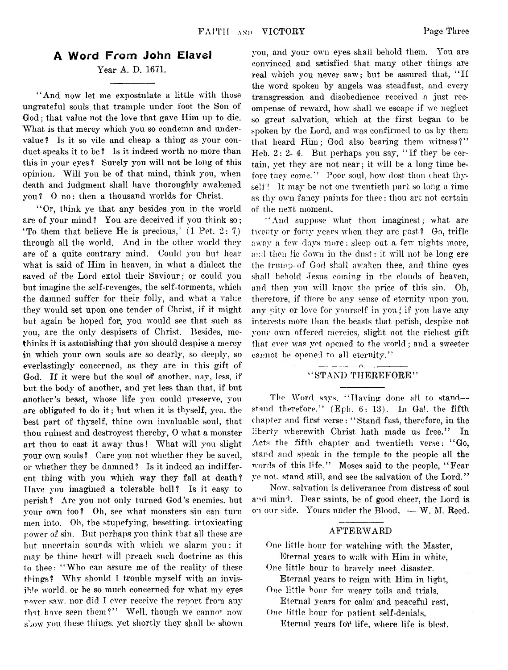#### A Word From John Elavel

### Year A. D. 1671.

" And now let me expostulate a little with those ungrateful souls that trample under foot the Son of God; that value not the love that gave Him up to die. What is that mercy which you so condemn and undervalue? Is it so vile and cheap a thing as your conduct speaks it to be ? Is it indeed worth no more than this in your eyes ? Surely you will not be long of this opinion. Will you be of that mind, think you, when death and judgment shall have thoroughly awakened you? 0 no: then a thousand worlds for Christ.

" Or, think ye that any besides you in the world are of your mind? You are deceived if you think so; 'To them that believe He is precious,'  $(1 \text{ Pet. } 2: 7)$ through all the world. And in the other world they are of a quite contrary mind. Could you but hear what is said of Him in heaven, in what a dialect the saved of the Lord extol their Saviour; or could you but imagine the self-revenges, the self-torments, which the damned suffer for their folly, and what a value they would set upon one tender of Christ, if it might but again be hoped for, you would see that such as you, are the only despisers of Christ. Besides, methinks it is astonishing that you should despise a mercy in which your own souls are so dearly, so deeply, so everlastingly concerned, as they are in this gift of God. If it were but the soul of another, nay, less, if but the body of another, and yet less than that, if but another's beast, whose life you could preserve, you are obligated to do it ; but when it is thyself, yea, the best part of thyself, thine own invaluable soul, that thou ruinest and destroyest thereby, 0 what a monster art thou to cast it away thus! What will you slight your own souls ? Care you not whether they be saved, or whether they be damned ? Is it indeed an indifferent thing with you which way they fall at death? Have you imagined a tolerable hell? Is it easy to perish? Are you not only turned God's enemies, but your own too? Oh, see what monsters sin can turn men into. Oh, the stupefying, besetting, intoxicating power of sin. But perhaps you think that all these are but uncertain sounds with which we alarm you ; it may be thine heart will preach such doctrine as this to thee: " Who can assure me of the reality of these things? Why should I trouble myself with an invisible world, or be so much concerned for what my eyes never saw. nor did I ever receive the report from any that, have seen them?" Well, though we cannot now show you these things, yet shortly they shall be shown

you, and your own eyes shall behold them. You are convinced and satisfied that many other things are real which you never saw; but be assured that, " If the word spoken by angels was steadfast, and every transgression and disobedience received a just recompense of reward, how shall we escape if wo neglect so great salvation, which at the first began to be spoken by the Lord, and was confirmed to us by them that heard Him; God also bearing them witness?" Heb.  $2:2$ -4. But perhaps you say, "If they be certain, yet they are not near; it will be a long time before they come." Poor soul, how dost thou cheat thyself! It may be not one twentieth part so long a time as thy own fancy paints for thee: thou art not certain of the next moment.

' ' And suppose what thou imaginest; what are twenty or forty years when they are past? Go, trifle away a few days more; sleep out a few nights more, and then lie down in the dust: it will not be long ere the trump of God shall awaken thee, and thine eyes shall behold Jesus coming in the clouds of heaven, and then you will know the price of this sin. Oh, therefore, if there be any sense of eternity upon you, any pity or love for yourself in you/ if you have any interests more than the beasts that perish, despise not your own offered mercies, slight not the richest gift that ever was yet opened to the world; and a sweeter cannot be opened to all eternity."

### " STAND THEREFORE"

 $\ldots$   $\alpha$ 

The Word says, "Having done all to standstand therefore." (Eph. 6: 13). In Gal. the fifth chapter and first verse: " Stand fast, therefore, in the liberty wherewith Christ hath made us free." In Acts the fifth chapter and twentieth verse: " Go, stand and speak in the temple to the people all the words of this life." Moses said to the people, "Fear ye not, stand still, and see the salvation of the Lord."

Now, salvation is deliverance from distress of soul and mind. Dear saints, he of good cheer, the Lord is on our side. Yours under the Blood,  $-\mathbf{W}$ . M. Reed.

#### AFTERWARD

One little hour for watching with the Master, Eternal years to walk with Him in white,

One little hour to bravely meet disaster.

Eternal years to reign with Him in light, One little hour for weary toils and trials,

Eternal years for calm' and peaceful rest, One little hour for patient self-denials,

Eternal years for life, where life is blest.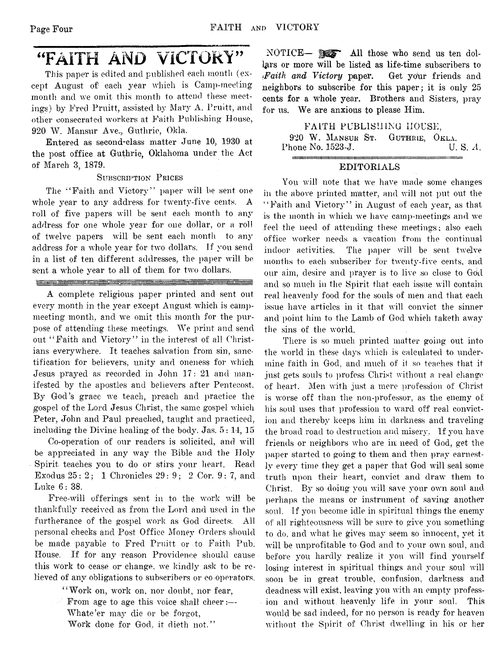# **"FAITH AND VICTORY"**

This paper is edited and published each month (except August of each year which is Camp-meeting month and we omit this month to attend these meetings) by Fred Pruitt, assisted by Mary A. Pruitt, and other consecrated workers at Faith Publishing House, 920 W. Mansur Ave.., Guthrie, Okla.

Entered as second-class matter June 10, 1930 at the post office at Guthrie, Oklahoma under the Act of March 3, 1879.

#### SUBSCRIPTION PRICES

The "Faith and Victory" paper will be sent one whole year to any address for twenty-five cents. A roll of five papers will be sent each month to any address for one whole year for one dollar, or a roll of twelve papers will be sent each month to any address for a whole year for two dollars. If you send in a list of ten different addresses, the paper will be sent a whole year to all of them for two dollars.

#### 

A complete religious paper printed and sent out every month in the year except August which is campmeeting month, and we omit this month for the purpose of attending these meetings. We print and send out "Faith and Victory" in the interest of all Christians everywhere. It teaches salvation from sin, sanctification for believers, unity and oneness for which Jesus prayed as recorded in John 17: 21 and manifested by the apostles and believers after Pentecost. By God's grace we teach, preach and practice the .gospel of the Lord Jesus Christ, the same gospel which Peter, John and Paul preached, taught and practiced, including the Divine healing of the body. Jas. 5: 14, 15

Co-operation of our readers is solicited, and will be appreciated in any way the Bible and the Holy Spirit teaches you to do or stirs your heart. Read Exodus 25: 2; 1 Chronicles 29: 9; 2 Cor. 9: 7, and Luke 6: 38.

Free-will offerings sent in to the work will be thankfully received as from the Lord and used in the furtherance of the gospel work as God directs. All personal checks and Post Office Money Orders should be made payable to Fred Pruitt or to Faith Pub. House. If for any reason Providence should cause this work to cease or change, we kindly ask to be relieved of any obligations to subscribers or co-operators.

> "Work on, work on, nor doubt, nor fear, From age to age this voice shall cheer:—

Whate'er may die or be forgot,

Work done for God, it dieth not."

NOTICE— **Moss** All those who send us ten dollars or more will be listed as life-time subscribers to *Faith and Victory* paper. Get your friends and neighbors to subscribe for this paper; it is only 25 cents for a whole year. Brothers and Sisters, pray for us. We are anxious to please Him.

FALTH PUBLISHING HOUSE, 920 W. MANSUR ST. GUTHRIE, OKLA.<br>hone No. 1523-J. (U. S. A. Phone No. 1523-J. m im iiiiiiiiiiiiiiiiiiiiiiim iiiiiiim iiim iim iiiiiiim iiim iiim iim iiiit u iiiiiiiiiiiiiiiiiiu iiiin iiiiiim ii

#### EDITORIALS

You will note that we have made some changes in the above printed mutter, and will not put out the "Faith and Victory" in August of each year, as that is the month in which we have camp-meetings and we feel the need of attending these meetings; also each office worker needs a vacation from the continual indoor activities. The paper will be sent twelve months to each subscriber for twenty-five cents, and our aim, desire and prayer is to live so close to God and so much in the Spirit that each issue will contain real heavenly food for the souls of men and that each issue have articles in it that will convict the sinner and point him to the Lamb of God which taketh away the sins of the world.

There is so much printed matter going out into the world in these days which is calculated to undermine faith in God, and much of it so teaches that it just gets souls to profess Christ without a real change of heart. Men with just a mere profession of Christ is worse off than the non-professor, as the enemy of his soul uses that profession to ward, off real conviction and thereby keeps him in darkness and traveling the broad road to destruction and misery. If you have friends or neighbors who are in; need of God, get the paper started to going to them and then pray earnestly every time they get a paper that God will seal some truth upon their heart, convict and draw' them to Christ. By so doing you will save your own soul and perhaps the means or instrument of saving another soul. If you become idle in spiritual things the enemy of all righteousness will be sure to give you something to do, and what he gives may seem so innocent, yet it will be unprofitable to God and to your owm soul, and before you hardly realize it you will find yourself losing interest in spiritual things and your soul will soon be in great trouble, confusion, darkness and deadness will exist, leaving you with an empty profession and without heavenly life in your soul. This would be sad indeed, for no person is ready for heaven without the Spirit of Christ dwelling in his or her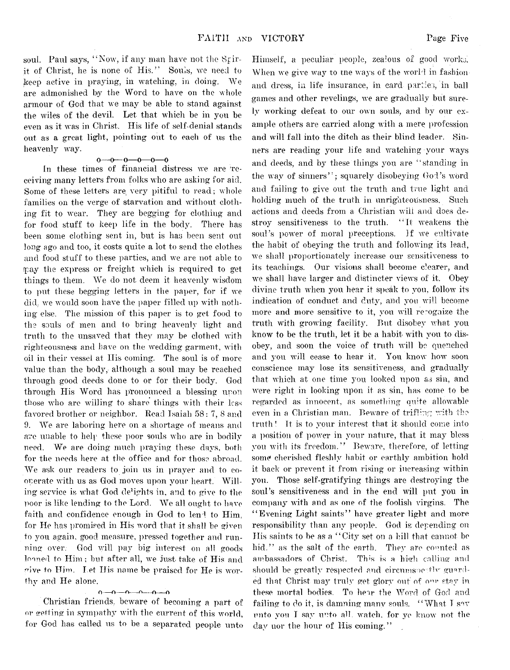soul. Paul says, "Now, if any man have not the Stirit of Christ, he is none of His." Souls, we need to keep active in praying, in watching, in doing. We are admonished by the Word to have on the whole armour of God that we may be able to stand against the wiles of the devil. Let that which be in you be even as it was in Christ. His life of self-denial stands out as a great light, pointing out to each of us the heavenly way.

#### $0 - 0 - 0 - 0 - 0$

In these times of financial distress we are receiving many letters from folks who are asking for aid. Some of these letters are, very pitiful to read; whole families on the verge of starvation and without clothing fit to wear. They are begging for clothing and for food stuff to keep life in the body. There has been some clothing sent in, but is has been sent out long ago and too, it costs quite a lot to send the clothes and food stuff to these parties, and we are not able to fpay the express or freight which is required to get things to them. We do not deem it heavenly wisdom to put these begging letters in the paper, for if we did. we would soon have the paper filled up with nothing else. The mission of this paper is to get food to the souls of men and to bring heavenly light and truth to the unsaved that they may be clothed with righteousness and have on the wedding garment, with oil in their vessel at His coming. The soul is of more value than the body, although a soul may be reached through good deeds done to or for their body. God through His Word has pronounced a blessing upon those who are willing to share things with their less favored brother or neighbor. Read Isaiah 58 : 7, 8 and 9. We are laboring here on a shortage of means and are unable to help these poor souls who are in bodily need. We are doing much praying these days, both for the needs here at the office and for those abroad. We ask our readers to join us in prayer and to cooperate with us as God moves upon your heart. Willing service is what God delights in, and to give to the poor is like lending to the Lord. We all ought to have faith and confidence enough in God to lend to  $\text{Him}$ , for He has promised in His word that it shall be given to you again, good measure, pressed together and running over. God will pay big interest on all goods loaned to Him; but after all, we just take of His and wive to Him. Let His name be praised for He is worthy and He alone.

#### o—o—n— o— o— o

Christian friends, beware of becoming a part of or getting in sympathy with the current of this world, for God has called us to be a separated people unto

Himself, a peculiar people, zealous of good works. When we give way to the ways of the world in fashion and dress, in life insurance, in card parties, in ball games and other revelings, we are gradually but surely working defeat to our own souls, and by our example others are carried along with a mere profession and will fall into the ditch as their blind leader. Sinners are reading your life and watching vour ways and deeds, and by these things you are "standing in the way of sinners"; squarely disobeying God's word and failing to give out the truth and true light and holding much of the truth in unrighteousness. Such actions and deeds from a Christian will and does destroy sensitiveness to the truth. " It weakens the soul's power of moral preceptions. If we cultivate the habit of obeying the truth and following its lead, we shall proportionately increase our sensitiveness to its teachings. Our visions shall become clearer, and we shall have larger and distincter views of it. Obey divine truth when you hear it speak to you, follow its indication of conduct and duty, and you will become more and more sensitive to it, you will recognize the truth with growing facility. But disobey what you know to be the truth, let it be a habit with you to disobey, and soon the voice of truth will be quenched and you will cease to hear it. You know how soon conscience may lose its sensitiveness, and gradually that which at one time you looked upon as sin, and were right in looking upon it as sin, has come to be regarded as innocent, as something quite allowable even in a Christian man. Beware of trifling with the truth *l* It is to your interest that it should come into a position of power in your nature, that it may bless you with its freedom." Beware, therefore, of letting some cherished fleshly habit or earthly ambition hold it back or prevent it from rising or increasing within you. Those self-gratifying things are destroying the soul's sensitiveness and in the end will put you in company with and as one of the foolish virgins. The "Evening Light saints" have greater light and more responsibility than any people. God is depending on His saints to be as a " City set on a hill that cannot be hid." as the salt of the earth. They are counted as ambassadors of Christ. This is a high calling and should be greatly respected and circumspectly guarded that Christ may truly get glory out of our stay in these mortal bodies. To hear the Word of God and failing to do it, is damning many souls. "What I say unto you I say unto all. watch, for ye know not the day nor the hour of His coming."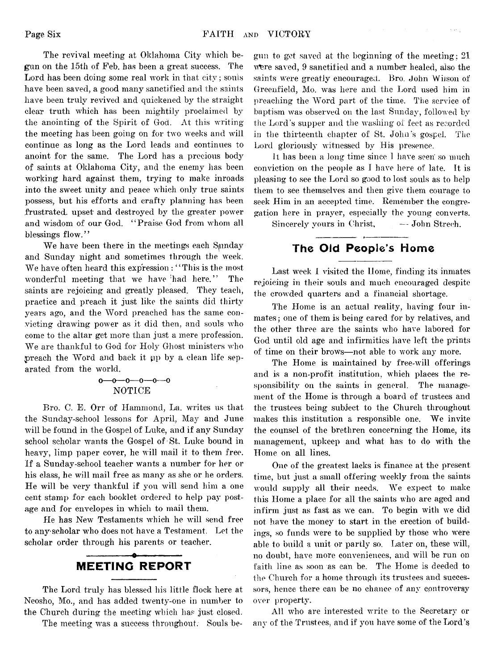The revival meeting at Oklahoma City which began on the 15th of Feb. has been a great success. The Lord has been doing some real work in that city; souls have been saved, a good many sanctified and the saints have been truly revived and quickened by the straight clear truth which has been mightily proclaimed by the anointing of the Spirit of Cod. At this writing the meeting has been going on for two weeks and will continue as long as the Lord leads and continues to anoint for the same. The Lord has a precious body of saints at Oklahoma City, and the enemy lias been working hard against them, trying to make inroads into the sweet unity and peace which only true saints possess, but his efforts and crafty planning has been frustrated, upset; and destroyed by the greater power and wisdom of our God. " Praise God from whom all blessings flow."

We have been there in the meetings each Sanday and Sunday night and sometimes through the week. We have often heard this expression : "This is the most wonderful meeting that we have 'had here." The saints are rejoicing and greatly pleased. They teach, practice and preach it just like the saints did thirty years ago, and the Word preached has the same convicting drawing power as it did then, and souls who come to the altar get more than just a mere profession. We are thankful to God for Holy Ghost ministers who preach the Word and back it up by a clean life separated from the world.

#### $0 - 0 - 0 - 0 - 0$ NOTICE

Bro. C. E. Orr of Hammond, La. writes us that the Sunday-school lessons for April, May and June will be found in the Gospel of Luke, and if any Sunday school scholar wants the Gospel of St. Luke bound in heavy, limp paper cover, he will mail it to them free. If a Sunday-school teacher wants a number for her or his class, he will mail free as many as she or he orders. He will be very thankful if you will send him a one cent stamp for each booklet ordered to help pay postage and for envelopes in which to mail them.

He has New Testaments which he will send free to any-scholar who does not have a Testament. Let the scholar order through his parents or teacher.

#### -----------------o---------------- MEETING REPORT

The Lord truly has blessed his little flock here at Neosho, Mo., and has added twenty-one in number to the Church during the meeting which has just closed.

The meeting was a success throughout. Souls be-

gun to get saved at the beginning of the meeting ; 21 were saved, 9 sanctified and a number healed, also the .saints were greatly encouraged. Bro. John Wiison of Greenfield, Mo. was here and the Lord used him in preaching the Word part of the time. The service of baptism was observed on the last Sunday, followed by the Lord's supper and the washing of feet as recorded in the thirteenth chapter of St. John's gospel. The Lord gloriously witnessed by His presence.

 $\bar{\psi}$  as  $\frac{1}{4}$ 

It has been a long time since I have seen' so much conviction on the people as I have here of late. It is pleasing to see the Lord so good to lost souls as to help them to see themselves and then give them courage to seek Him in an accepted time. Remember the congregation here in prayer, especially the young converts. Sincerely yours in Christ, — John Streeh.

### The Old People's Home

Last week I visited the Home, finding its inmates rejoicing in their souls and much encouraged despite the crowded quarters and a financial shortage.

The Home is an actual reality, having four inmates : one of them is being cared for by relatives, and the other three are the saints who have labored for God until old age and infirmities have left the prints of time on their brows—not able to work any more.

The Home is maintained by free-will offerings and is a non-profit institution, which places the responsibility on the saints in general. The management of the Home is through a board of trustees and the trustees being subject to the Church throughout makes this institution a responsible one. We invite the counsel of the brethren concerning the Home, its management, upkeep and what has to do with the Home on all lines.

One of the greatest lacks is finance at the present time, but just a small offering weekly from the saints would supply all their needs. We expect to make this Home a place for all the saints who are aged and infirm just as fast as we can. To begin with we did not have the money to start in the erection of buildings, so funds were to be supplied by those who were able to build a unit or partly so. Later on, these will, no doubt, have more conveniences, and will be run on faith line as soon as can be. The Home is deeded to the Church for a home through its trustees and successors, hence there can be no chance of any controversy over property.

All who are interested write to the Secretary or any of the Trustees, and if you have some of the Lord's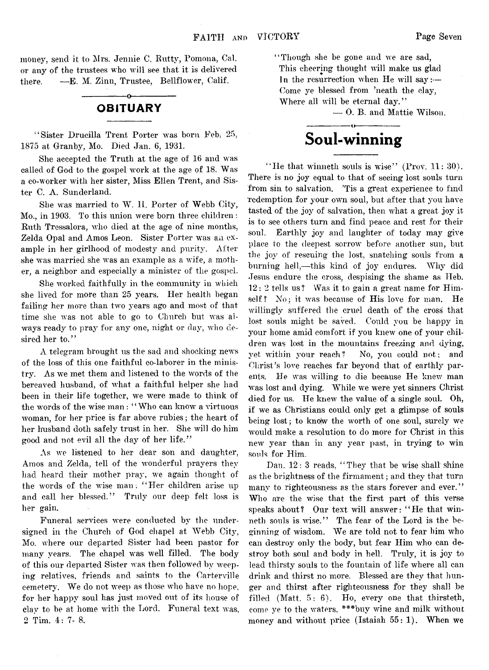money, send it to Mrs. Jennie C. Rutty, Pomona, Cal. or any of the trustees who will see that it is delivered there. — E. M. Zinn, Trustee, Bellflower, Calif.

### -----------------o----------------- **OBITUARY**

' ' Sister Drueilla Trent Porter was born Feb: 25, 1875 at Granby, Mo. Died Jan. 6, 1931.

She accepted the Truth at the age of 16 and was called of God to the gospel work at the age of 18. Was a co-worker with her sister, Miss Ellen Trent, and Sister C. A. Sunderland.

She was married to W. II. Porter of Webb City, Mo., in 1903. To this union were born three children: Ruth Tressalora, who died at the age of nine months, Zelda Opal and Amos Leon. Sister Porter was an example in her girlhood of modesty and purity. After she was married she was an example as a wife, a mother, a neighbor and especially a minister of the gospel.

She worked faithfully in the community in which she lived for more than 25 years. Her health began failing her more than two years ago and most of that time she was not able to go to Church but was always ready to pray for any one, night or day, who desired her to."

A telegram brought us the sad and shocking news of the loss of this one faithful co-laborer in the ministry. As we met them and listened to the words of the bereaved husband, of what a faithful helper she had been in their life together, we were made to think of the words of the wise man : " Who can know a virtuous woman, for her price is far above rubies; the heart of her husband doth safely trust in her. She will do him good and not evil all the day of her life."

As we listened to her dear son and daughter, Amos and Zelda, tell of the wonderful prayers they had heard their mother pray, we again thought of the words of the wise man: "Her children arise up and call her blessed." Truly our deep felt loss is her gain.

Funeral services were conducted by the undersigned in the Church of God chapel at Webb City, Mo. where our departed Sister had been pastor for many years. The chapel was well filled. The body of this our departed Sister was then followed by weeping relatives, friends and saints to the Carterville cemetery. We do not weep as those who have no hope, for her happy soul has just moved out of its house of clay to be at home with the Lord. Funeral text was, 2 Tim. 4:7-8.

" Though she be gone and we are sad, This cheering thought will make us glad In the resurrection when He will *say*:— Come ye blessed from 'neath the clay, Where all will be eternal day."

— 0. B. and Mattie Wilson.

# ------------------O------------------ **Soul-winning**

"He that winneth souls is wise" (Prov.  $11:30$ ). There is no joy equal to that of seeing lost souls turn from sin to salvation. 'Tis a great experience to find redemption for your own soul, but after that you have tasted of the joy of salvation, then what a great joy it is to see others turn and find peace and rest for their soul. Earthly joy and laughter of today may give place to the deepest sorrow before another sun, but the joy of rescuing the lost, snatching souls from a burning hell,— this kind of joy endures. Why did Jesus endure the cross, despising the shame as Heb. 12:2 tells us ? Was it to gain a great name for Himself? No; it was because of His love for man. He willingly suffered the cruel death of the cross that lost souls might be saved. Could you be happy in your home amid comfort if you knew one of your children was lost in the mountains freezing and dying, yet within your reach? No, you could not; and Christ's love reaches far beyond that of earthly parents. He was willing to die because He knew man was lost and dying. While we were yet sinners Christ died for us. He knew the value of a single soul. Oh, if we as Christians could only get a glimpse of souls being lost; to know the worth of one soul, surely we would make a resolution to do more for Christ in this new year than in any year past, in trying to win souls for Him.

Dan. 12: 3 reads, " They that be wise shall' shine as the brightness of the firmament; and they that turn many to righteousness as the stars forever and ever." Who are the wise that the first part of this verse speaks about? Our text will answer: " He that winneth souls is wise." The fear of the Lord is the beginning of wisdom. We are told not to fear him who can destroy only the body, but fear Him who can destroy both soul and body in hell. Truly, it is joy to lead thirsty souls to the fountain of life where all can drink and thirst no more. Blessed are they that hunger and thirst after righteousness for they shall be filled (Matt. 5: 6). Ho, every one that thirsteth, come ye to the waters. #\*\*buv wine and milk without money and without price (Istaiah  $55:1$ ). When we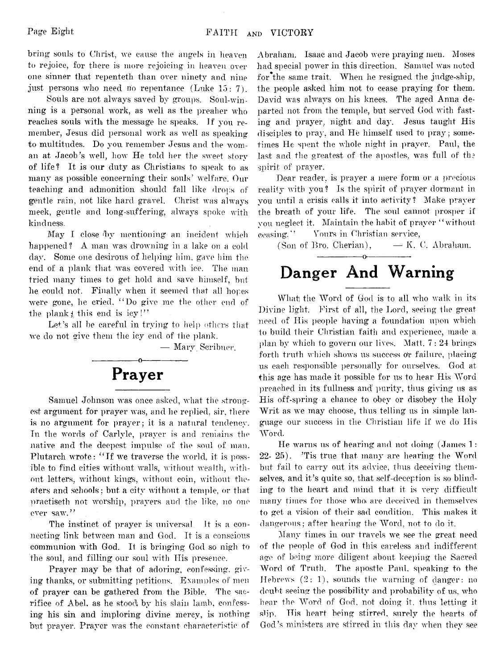bring souls to Christ, we cause the angels in heaven to rejoice, for there is more rejoicing in heaven over one sinner that repenteth than over ninety and nine just persons who need no repentance (Luke 15: 7).

Souls are not always saved by groups. Soul-win ning is a personal work, as well as the preaher who reaches souls with the message he speaks. If you remember, Jesus did personal work as well as speaking to multitudes. Do you remember Jesus and the woman at Jacob's well, how He told her the sweet story of life? It is our duty as Christians to speak to as many as possible concerning their souls' welfare. Our teaching and admonition should fall like drops of gentle rain, not like hard gravel. Christ was always meek, gentle and long-suffering, always spoke with kindness.

May I close by mentioning an incident which happened? A man was drowning in a lake on a cold day. Some one desirous of helping him, gave him the end of a plank that was covered with ice. The man tried many times to get hold and save himself, but he could not, Finally when it seemed that all hopes were gone, he cried, " Do give me the other end of the plank  $\sharp$  this end is icy !"

Let's all be careful in trying to help others that we do not give them the icy end of the plank.

— Mary Scribner.



Samuel Johnson was once asked, what the strongest argument for prayer was, and he replied, sir, there is no argument for prayer; it is a natural tendency. Tn the words of Carlyle, prayer is and remains the native and the deepest impulse of the soul of man. Plutarch wrote: " If we traverse the world, it is possible to find cities without walls, without wealth, without letters, without kings, without coin, without theaters and schools : but a city without a temple, or that practiseth not worship, prayers and the like, no one ever saw."

The instinct of prayer is universal It is a connecting link between man and God. It is a conscious communion with God. It is bringing God so nigh to the soul, and filling our soul with His presence.

Prayer may be that of adoring, confessing, giving thanks, or submitting petitions. Examples of men of prayer can be gathered from the Bible. The sacrifice of Abel, as he stood bv his slain lamb, confessing his sin and imploring divine mercy, is nothing but prayer. Prayer was the constant characteristic of

Abraham. Isaac and Jacob were praying men. Moses had special power in this direction. Samuel was noted for the same trait. When he resigned the judge-ship, the people asked him not to cease praying for them. David was always on his knees. The aged Anna departed not from the temple, but served God with fasting and prayer, night and day. Jesus taught His disciples to pray, and He himself used to pray; sometimes He spent the whole night in prayer. Paul, the last and the greatest of the apostles, was full of the spirit of prayer.

Dear reader, is prayer a mere form or a precious reality with you? Is the spirit of prayer dormant in you until a crisis calls it into activity? Make prayer the breath of your life. The soul cannot prosper if you neglect it. Maintain the habit of prayer " without ceasing." Yours in Christian service,

(Son of Bro. Cherian),  $-$  K. C. Abraham.

# **Danger And Warning**

What the Word of God is to all who walk in its Divine light, First of all, the Lord, seeing the great need of His people having a foundation upon which to build their Christian faith and experience, made a plan by which to govern our lives. Matt. 7: 24 brings forth truth which shows us success or failure, placing us each responsible personally for ourselves. God at this age has made it possible for us to hear His Word preached in its fullness and purity, thus giving us as His off-spring-a chance to obey or disobey the Holy Writ as we may choose, thus telling us in simple language our success in the Christian life if we do His Word.

He warns us of hearing and not doing  $\lambda$  James 1: 22- 25). 'Tis true that many are hearing the Word but fail to carry out its advice, thus deceiving themselves, and it's quite so, that self-deception is so blinding to the heart and mind that it is very difficult many times for those who are deceived in themselves to get a vision of their sad condition. This makes it dangerous; after hearing the Word, not to do it.

Many times in our travels we, see the great need of the people of God in this careless and indifferent age of being more diligent about keeping the Sacred Word of Truth. The apostle Paul, speaking to the Hebrews (2: 1), sounds the warning of danger: no doubt seeing the possibility and probability of us, who hear the Word of God, not doing it, thus letting it slip. His heart being stirred, surely the hearts of God's ministers are stirred in this day when they see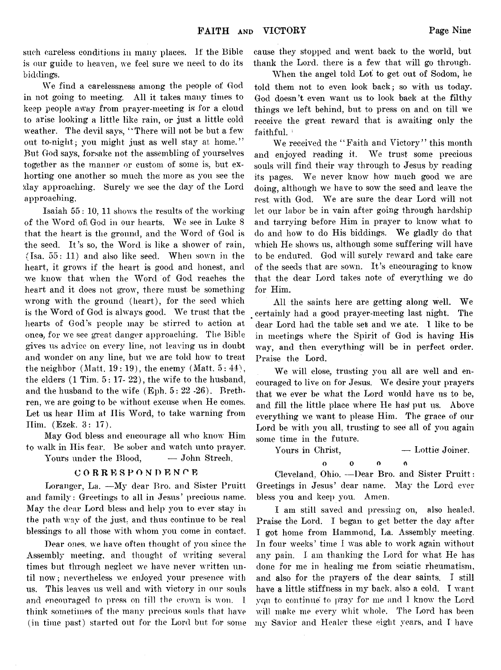such careless conditions in many places. It the Bible is our guide to heaven, we feel sure we need to do its biddings.

We find a carelessness among the people of God in not going to meeting. All it takes many times to keep people away from prayer-meeting is for a cloud to arise looking a little like rain, or just a little cold weather. The devil says, "There will not be but a few out to-night; you might just as well stay at home." But God says., forsake not the assembling of yourselves together as the manner or custom of some is, but exhorting one another so much the; more as you see the (day approaching. Surely we see the day of the Lord approaching.

Isaiah 55: 10, 11 shows the results of the working of the Word of\ God in our hearts. We see in Luke 8 that the heart is the ground, and the Word of God is the seed. It's so, the Word is like a shower of rain, (Isa. 55: 11) and also like seed. When sown in the heart, it grows if the heart is good and honest, and we know that when the Word of God reaches the heart and it does not grow, there must be something wrong with the ground (heart), for the seed which is the Word of God is always good. We trust that the hearts of God's people may be stirred to action at once, for we see great danger approaching. The Bible gives us advice on every line, not leaving us in doubt and wonder on any line, but we are told how to treat the neighbor (Matt,  $19:19$ ), the enemy (Matt,  $5:44$ ), the elders (1 Tim. 5: 17- 22), the wife to the husband, and the husband to the wife (Eph. 5: 22 -26). Brethren, we are going to be without excuse when He comes. Let us hear Him at His Word, to take warning from Him. (Ezek. 3: 17).

May God bless and encourage all who know Him to walk in His fear. Be sober and watch unto prayer. Yours under the Blood,  $\qquad -$  John Strech.

#### **CORRESPONDENTE**

Loranger, La. —My dear Bro. and Sister Pruitt and family: Greetings to all in Jesus' precious name. May the dear Lord bless and help you to ever stay in the path way of the just, and thus continue to be real blessings to all those with whom you come in contact.

Dear ones, we have often thought of you since the Assembly meeting, and thought of writing several times but through neglect we have never written until now; nevertheless we enjoyed your presence with us. This leaves us well and with victory in our souls and encouraged to press on till the crown is von. 1 think sometimes of the many precious souls that have (in time past) started out for the Lord but for some

cause they stopped and went back to the world, but thank the Lord, there is a few that will go through.

When the angel told Lot to get out of Sodom, he told them not to even look back; so with us today. God doesn't even want us to look back at the filthy things we left behind, but to press on and on till we receive the great reward that is awaiting only the faithful.<sup>1</sup>

We received the "Faith and Victory" this month and enjoyed reading it. We trust some precious souls will find their way through to Jesus by reading its pages. We never know how much good we are doing, although we have to sow the seed and leave the rest with God. We are sure the dear Lord will not let our labor be in vain after going through hardship and tarrying before Him in prayer to know what to do and how to do His biddings. We gladly do that which He shows us, although some suffering will have to be endured. God will surely reward and take care of the seeds that are sown. It's encouraging to know that the dear Lord takes note of everything we do for Him.

All the saints here are getting along well. We certainly had a good prayer-meeting last night. The dear Lord had the table set and we ate. I like to be in meetings where the Spirit of God is having His way, and then everything will be in perfect order. Praise the Lord.

We will close, trusting you all are well and encouraged to live on for Jesus. We desire your prayers that we ever be what the Lord would have us to be, and fill the little place where He has put us. Above everything we want to please Him. The grace of our Lord be with you all, trusting to see all of you again some time in the future.

Yours in Christ,  $\qquad -$  Lottie Joiner.

 $\begin{array}{ccc} 0 & 0 & 0 \end{array}$ Á

Cleveland, Ohio. — Dear Bro. and Sister Pruitt: Greetings in Jesus' dear name. May the Lord ever bless you and keep you. Amen.

I am still saved and pressing on, also healed. Praise the Lord. I began to get better the day after I got home from Hammond, La. Assembly meeting. In four weeks' time I was able to work again without any pain. I am thanking the Lord for what He has done for me in healing me from sciatic rheumatism, and also for the prayers of the dear saints. I still have a little stiffness in my back, also a cold. I want yqu to continue to pray for me and I know the Lord will make me every whit whole. The Lord has been my Savior and Healer these eight years, and I have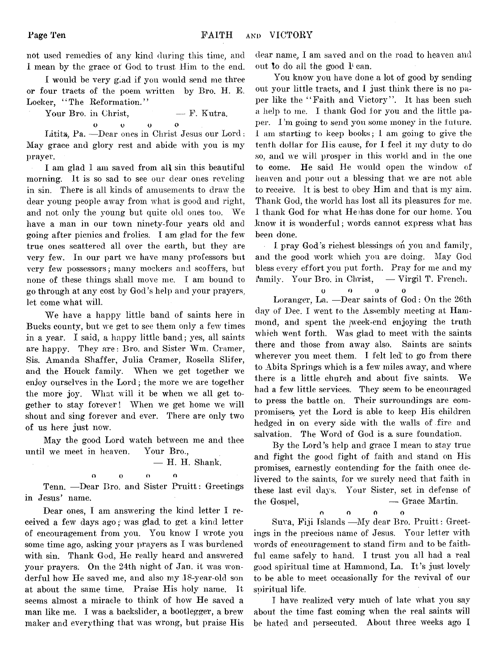not used remedies of any kind during this time, and I mean by the grace of God to trust. Him to the end.

I would be very gi.ad if you would send me three or four tracts of the poem written by Bro. H. E. Locker, "The Reformation."

Your Bro. in Christ,  $- F.$  Kutra.

o u o o Lititz, Pa. - Dear ones in Christ Jesus our Lord: May grace and glory rest and abide with you is my prayer.

I am glad I am saved from all sin this beautiful morning. It is so sad to see our dear ones reveling in sin. There is all kinds of amusements to draw the dear young people away from what is good and right, and not only the young but quite old ones too. We have a man in our town ninety-four years old and going after picnics and frolics. I am glad for the few true ones scattered all over the earth, but they are very few. In our part we have many professors but very few possessors; many mockers and scoffers, but none of these things shall move me. I am bound to go through at any cost by God's help and your prayers, let come what will.

We have a happy little band of saints here in Bucks county, but we get to see them only a few times in a year. I said, a happy little band; yes, all saints are happy. They are: Bro. and Sister Wm. Cramer, Sis. Amanda Shaffer, Julia Cramer, Rosella Slifer, and the Houck family. When we get together we enjoy ourselves in the Lord; the more we are together the more joy. What will it be when we all get together to stay forever! When we get home we will shout and sing forever and ever. There are only two of us here just now.

May the good Lord watch between me and thee until we meet in heaven. Your Bro.,

— H. H. Shank.

o o o o

Tenn. — Dear Bro. and Sister Pruitt: Greetings in Jesus' name.

Dear ones, I am answering the kind letter I received a few days ago; was glad to get a kind letter of encouragement from you. You know I wrote you some time ago, asking your prayers as I was burdened with sin. Thank God, He really heard and answered your prayers. On the 24th night of Jan. it was wonderful how He saved me, and also my 18-year-old son at about the same time. Praise His holy name. It seems almost a miracle to think of how He saved a man like me. I was a backslider, a bootlegger, a brew maker and everything that was wrong, but praise His dear name. I am saved and on the road to heaven and out to do all the good  $I<sup>i</sup>$  can.

You know you have done a lot of good by sending out your little tracts, and I just think there is no paper like the "Faith and Victory". It has been such a help to me. I thank God for you and the little paper. I'm going to send you some money in the future. I am starting to keep books; I am going to give the tenth dollar for His cause, for I feel it my duty to do so, and we will prosper in this world and in the one to come. He said He would open the window of heaven and pour out a blessing that we are not able to receive. It is best to obey Him and that is my aim. Thank God, the world has lost all its pleasures for me. I thank God for what He has done for our home. You know it is wonderful; words cannot express what has been done.

 $\mathcal{L}^{\mathcal{L}}$ I pray God's richest blessings on you and family, and the good work which you are doing. May God bless every effort you put forth. Pray for me and my family. Your Bro. in Christ, — Virgil T. French,

u o o o Loranger, La. -Dear saints of God: On the 26th day of Dec. I went to the Assembly meeting at Hammond, and spent the *week-end* enjoying the truth which went forth. Was glad to meet with the saints there and those from away also. Saints are saints wherever you meet them. I felt led to go from there to Abita Springs which is a few miles away, and where there is a little church and about five saints. We had a few little services. They seem to be encouraged to press the battle on. Their surroundings are compromisersi yet the Lord is able to keep His children hedged in on every side with the walls of fire and salvation. The Word of God is a sure foundation.

By the Lord's help and grace I mean to stay true and fight the good fight of faith and stand on His promises, earnestly contending for the faith once delivered to the saints, for we surely need that faith in these last evil days. Your Sister, set in defense of  $\begin{array}{rcl} \text{the Gospel,} \end{array}$  — Grace Martin.

n o O O Suva, Fiji Islands —My dear Bro. Pruitt: Greetings in the precious name of Jesus. Your letter with words of encouragement to stand firm and to be faithful came safely to hand. I trust you all had a real good spiritual time at Hammond, La. It's just lovely to be able to meet occasionally for the revival of our spiritual life.

I have realized very much of late what you say about the time fast coming when the real saints will be hated and persecuted. About three weeks ago I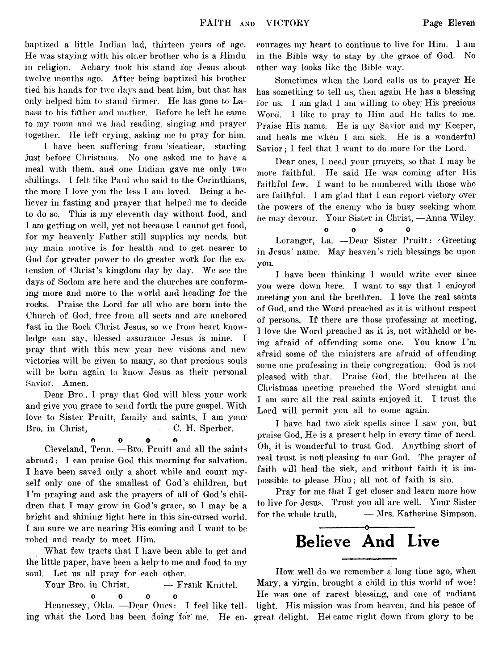baptized a little Indian lad, thirteen years of age. He was staying with his olaer brother who is a Hindu in religion. Achary took his stand for Jesus about twelve months ago. After being baptized his brother tied his hands for two days and beat him, but that has only helped him to stand firmer. He has gone to Labasa to his father and mother. Before he left he came to. my room and we had reading, singing and prayer together. He left crying, asking me to pray for him.

I have been suffering from sicaticar, starting just before Christmas. No one asked me to have a meal with them, and one Indian gave me only two shillings. I felt like Paul who said to the Corinthians, the more I love you the less 1 am loved. Being a believer in fasting and prayer that helped me to decide to do so. This is my eleventh day without food, and I am getting on well, yet not because I cannot get food, for my heavenly Father still supplies my needs, but my main motive is for health and to get nearer to God for greater power to do greater work for the extension of Christ's kingdom day by day. We see the days of Sodom are here and the churches are conforming more and more to the world and heading for the rocks. Praise the Lord for all who are born into the Church of God, free from all sects and are anchored fast in the Rock Christ Jesus, so we from heart knowledge can say, blessed assurance Jesus is mine. I pray that with this new year new visions and new victories will be given to many, so that precious souls will be born again to know Jesus as their personal Savior. Amen.

Dear Bro., I pray that God will bless your work and give you grace to send forth the pure gospel. With love to Sister Pruitt, family and saints, I am your  $Bro.$  in Christ,  $\hspace{1.6cm}$   $\hspace{1.6cm}$   $\hspace{1.6cm}$   $\hspace{1.6cm}$   $\hspace{1.6cm}$   $\hspace{1.6cm}$   $\hspace{1.6cm}$   $\hspace{1.6cm}$   $\hspace{1.6cm}$   $\hspace{1.6cm}$   $\hspace{1.6cm}$   $\hspace{1.6cm}$   $\hspace{1.6cm}$   $\hspace{1.6cm}$   $\hspace{1.6cm}$   $\hspace{1.6cm}$   $\hspace{1.6cm}$ 

0 0 0

 $\mathbf{a}$ 

Cleveland, Tenn. —Bro. Pruitt and all the saints abroad: I can praise God this morning for salvation. I have been saved only a short while and count myself only one of the smallest of God's children, but I'm praying and ask the prayers of all of God's children that I may grow in God's grace, so I may be a bright and shining light here in this sin-cursed world. I am sure we are nearing His coming and T want to be robed and ready to meet Him.

What few tracts that I have been able to get and the little paper, have been a help to me and food to my soul. Let us all pray for each other.

Your Bro. in Christ, - Frank Knittel. O O O 0

Hennessey, Okla. —Dear Ones: I feel like telling what the Lord has been doing for me. He encourages my heart to continue to live for Him. 1 am in the Bible way to stay by the grace of God. No other way looks like the Bible way.

Sometimes when the Lord calls us to prayer He has something to tell us, then again He has a blessing for us. I am glad 1 am willing to obey His precious Word. I like to pray to Him and He talks to me. Praise His name. He is my Savior and my Keeper, and heals me when I am sick. He is a wonderful Savior; I feel that I want to do more for the Lord.

Dear ones, I need your prayers, so that I may be more faithful. He said He was coming after His faithful few. I want to be numbered with those who are faithful. I am glad that I can report victory over the powers of the enemy who is busy seeking whom he may devour. Your Sister in Christ, — Anna Wiley.

$$
\begin{matrix}0&0&0&0\end{matrix}
$$

Loranger, La. —Dear Sister Pruitt: ' Greeting in Jesus' name. May heaven's rich blessings be upon you.

I have been thinking 1 would write ever since you were down here. I want to say that I enjoyed meeting you and the brethren. I love the real saints of God, and the Word preached as it is without respect of persons. If there are those professing at meeting, I love the Word preached as it is, not withheld or being afraid of offending some one. You know I'm afraid some of the ministers are afraid of offending some one professing in their congregation. God is not pleased with that. Praise God, the brethren at the Christmas meeting preached the Word straight and I am sure all the real saints enjoyed it. I trust the Lord will permit you all to come again.

I have had two sick spells since I saw you, but praise God, He is a present help in every time of need. Oh, it is wonderful to trust God. Anything short of real trust is not) pleasing to our God. The prayer of faith will heal the sick, and without faith it is impossible to please Him; all not of faith is sin.

Pray for me that I get closer and learn more how to live for Jesus. Trust you all are well. Your Sister for the whole truth, — Mrs. Katherine Simpson.

# -----------------o---------------- Believe **And Live**

How: well do we remember a long time ago, when Mary, a virgin, brought a child in this world of woe! He was one of rarest blessing, and one of radiant light. His mission was from heaven, and his peace of great delight. Hef came right down from glory to be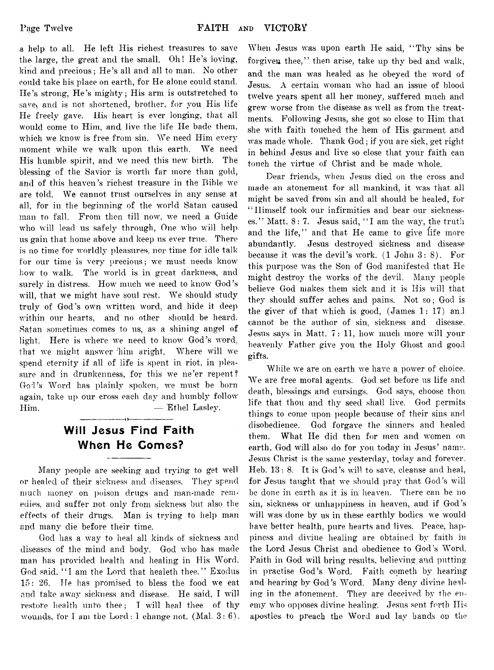a help to all. He left His richest treasures to save the large, the great and the small. Oh! He's loving, kind and precious; He's all and all to man. No other could take his place on earth, for He alone could stand. He's strong, He's mighty; His arm is outstretched to save, and is not shortened, brother, for you His life He freely gave. His heart is ever longing, that all would come to Him, and live the life He bade them, which we know is free from sin. We need Him every moment while we walk upon this earth. We need His humble spirit, and we need this new birth. The blessing of the Savior is worth far more than gold, and of this heaven's richest treasure in the Bible we are told. We cannot trust ourselves in any sense at all, for in the beginning of the world Satan caused man to fall. From then till now, we need a Guide who will lead us safely through, One who will help us gain that home above and keep us ever true. There is no time for worldly pleasures, nor time for idle talk for our time is very precious; we must needs know how to walk. The world is in great darkness, and surely in distress. How much we need to know God's will, that we might have soul rest. We should study truly of God's own written word, and hide it deep within our hearts, and no other should be heard. Satan sometimes comes to us, as a shining angel of light. Here is where we need to know God's word, that we might answer 'him aright. Where will we spend eternity if all of life is spent in riot, in pleasure and in drunkenness, for this we ne'er repent? God's Word has plainly spoken, we must be born again, take up our cross each day and humbly follow Him. — Ethel Lasley. ------------------< >------------------

# Will Jesus Find Faith When He Comes?

Many people are seeking and trying to get well or healed of their sickness and diseases. They spend much money on poison drugs and man-made remedies, and suffer not only from sickness but also the effects of their drugs. Man is trying to help man and many die before their time.

God has a way to heal all kinds of sickness and diseases of the mind and body. God who has made man has provided health and healing in His Word. God said, "I am the Lord that healeth thee." Exodus 15: 26. He has promised to bless the food we eat and take away sickness and disease. He said, I will restore health unto thee; I will heal thee of thy wounds, for I am the Lord: I change not. (Mal.  $3:6$ ).

When Jesus was upon earth He said, " Thy sins be forgiven thee," then arise, take up thy bed and walk. and the man was healed as he obeyed the word of Jesus. A certain woman who had an issue of blood twelve years spent all her money, suffered much and grew worse from the disease as well as from the treatments. Following Jesus, she got so close to Him that she with faith touched the hem of His garment and was made whole. Thank God; if you are sick, get right in behind Jesus and live so close that your faith can touch the virtue of Christ and be made whole.

Dear friends, when Jesus died on the cross and made an atonement for all mankind, it was that all might be saved from sin and all should be healed, for " Himself took our infirmities and bear our sicknesses." Matt. 8: 7. Jesus said, " I am the way, the truth and the life," and that He came to give life more abundantly. Jesus destroyed sickness and disease because it was the devil's work.  $(1$  John  $3:8$ ). For this purpose was the Son of God manifested that He might destroy the works of the devil. Many people believe God makes them sick and it is His will that they should suffer aches and pains. Not so; God is the giver of that which is good, (James 1: 17) an I cannot be the author of sin., sickness and disease. Jesus says in Matt. 7: 11, how much more will your heavenly Father give you the Holy Ghost and good gifts.

While we are on earth we have a power of choice. We are free moral agents. God set before us life and death, blessings and cursings. God says, choose thou life that thou and thy seed shall live. God permits things to come upon people because of their sins and disobedience. God forgave the sinners and healed them. What He did then for men and women on earth, God will also do for you today in Jesus' name. Jesus Christ is the same yesterday, today and forever. Heb. 13: 8. It is God's will to save, cleanse and heal, for Jesus taught that we should pray that God's will be done in earth as it is in heaven. There can be no sin, sickness or unhappiness in heaven, and if God's will was done by us in these earthly bodies we would have better health, pure hearts and lives. Peace, happiness and divine healing are obtained by faith in the Lord Jesus Christ and obedience to God's Word. Faith in God will bring results, believing and putting in practise God's Word. Faith cometh by hearing and hearing by God's Word. Many deny divine healing in the atonement. They are deceived by the enemy who opposes divine healing. Jesus sent forth His apostles to preach the Word and lay bands on the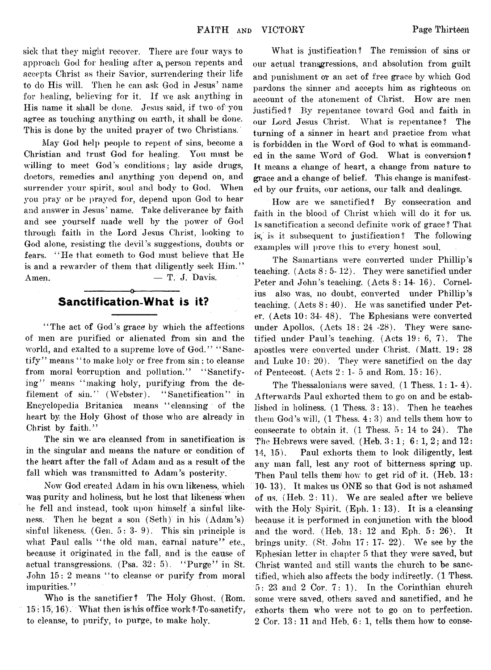sick that they might recover. There are four ways to approach God for healing after  $a<sub>k</sub>$  person repents and accepts Christ as their Savior, surrendering their life to do His will. Then he can ask God in Jesus' name for healing, believing for it. If we ask anything in His name it shall be done. Jesus said, if two of you agree as touching anything on earth, it shall be done. This is done by the united prayer of two Christians.

May God help people to repent of sins, become a Christian and trust God for healing. You must be willing to meet God's conditions; lay aside drugs, doctors, remedies and anything you depend on, and surrender your spirit, soul and body to God. When you pray or be prayed for, depend upon God to hear and answer in Jesus' name. Take deliverance by faith and see yourself made well by the power of God through faith in the Lord Jesus Christ, looking to God alone, resisting the devil's suggestions, doubts or fears. "He that cometh to God must believe that He is and a rewarder of them that diligently seek Him." Amen.  $-$  T. J. Davis.

## Sanctification-What is it?

' 'The act of God's grace by which the affections of men are purified or alienated from sin and the world, and exalted to a supreme love of God." "Sanctify" means "to make holy or free from sin; to cleanse from moral corruption and pollution." "Sanctifying" means "making holy, purifying from the defilement of sin." (Webster). "Sanctification" in Encyclopedia Britanica means "cleansing of the heart by the Holy Ghost of those who are already in Christ by faith."

The sin we are cleansed from in sanctification is in the singular and means the nature or condition of the heart after the fall of Adam and as a result of the fall which was transmitted to Adam's posterity.

Now God created Adam in his own likeness, which was purity and holiness, but he lost that likeness when he fell and instead, took upon himself a sinful likeness. Then he begat a son (Seth) in his (Adam's) sinful likeness. (Gen. 5: 3- 9). This sin principle is what Paul calls "the old man, carnal nature" etc., because it originated in the fall, and is the cause of actual transgressions.  $(Psa. 32: 5)$ . "Purge" in St. John 15: 2 means "to cleanse or purify from moral impurities."

Who is the sanctifier? The Holy Ghost. (Bom.  $15:15,16$ . What then is his office work ? To sanctify, to cleanse, to purify, to purge, to make holy.

What is justification? The remission of sins or our actual transgressions, and absolution from guilt and punishment or an act of free grace by which God pardons the sinner and accepts him as righteous on account of the atonement of Christ. How are men justified? By repentance toward God and faith in our Lord Jesus Christ. What is repentance? The turning of a sinner in heart and practice from what is forbidden in the Word of God to what is commanded in the same Word of God. Wliat is conversion? It means a change of heart, a change from nature to grace and a change of belief. This change is manifested by our fruits, our actions, our talk and dealings.

How are we sanctified? By consecration and faith in the blood of Christ which will do it for us. Is sanctification a second definite work of grace ? That is, is it subsequent to justification? The following examples will prove this to every honest soul.

The Samartians were converted under Phillip's teaching.  $(Aets 8: 5-12)$ . They were sanctified under Peter and John's teaching. (Acts 8: 14-16). Cornelius also was, no doubt, converted under Phillip's teaching. (Acts 8: 40). He was sanctified under Peter. (Acts 10: 34- 48). The Ephesians were converted under Apollos. (Acts 18: 24 -28). They were sanctified under Paul's teaching. (Acts 19: 6, 7). The apostles were converted under Christ. (Matt. 19: 28 and Luke 10: 20). They were sanctified on the day of Pentecost. (Acts 2:1-5 and Kom. 15: 16).

The Thessalonians were saved. (1 Thess. 1: 1-4). Afterwards Paul exhorted them to go on and be established in holiness. (1 Thess. 3: 13). Then he teaches them God's will, (1 Thess. 4:3) and tells them how to consecrate to obtain it. (1 Thess. 5: 14 to 24). The The Hebrews were saved. (Heb.  $3:1$ ;  $6:1$ ,  $2$ ; and  $12$ : 14, 15 ). Paul exhorts them to look diligently, lest any man fall, lest any root of bitterness spring up. Then Paul tells them how to get rid of it. (Heb.  $13:$ 10- 13). It makes us ONE so that God is not ashamed of us. (Heb. 2: 11). We are sealed after we believe with the Holy Spirit, (Eph. 1: 13). It is a cleansing because it is performed in conjunction with the blood and the word. (Heb. 13: 12 and Eph. 5: 26). It brings unity. (St. John 17: 17- 22). We see by the Ephesian letter in chapter 5 that they were saved, but Christ wanted and still, wants the church to be sanctified, which also affects the body indirectly. (1 Thess. 5: 23 and 2 Cor. 7:1). In the Corinthian church some were saved, others saved and sanctified, and he exhorts them who were not to go on to perfection. 2 Cor. 13: 11 and Heb. 6: 1, tells them how to conse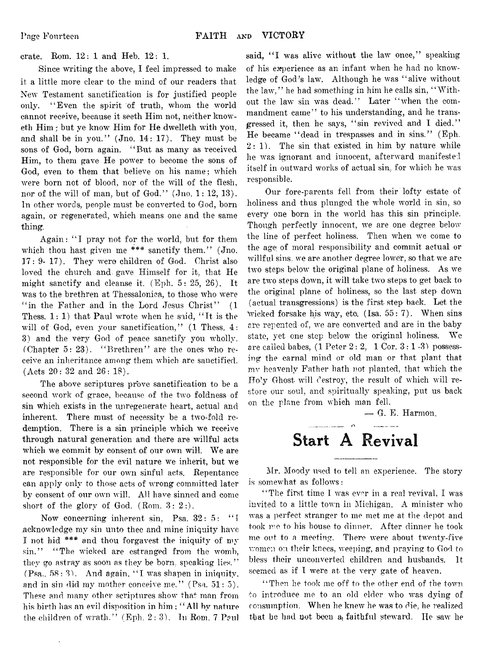crate. Rom. 12: 1 and Heb. 12: 1.

Since writing the above, I feel impressed to make it a little more clear to the mind of our readers that New Testament sanctification is for justified people only. " Even the spirit of truth, whom the world cannot receive, because it seeth Him not, neither knoweth Him ; but ye know Him for He dwelleth with you, and shall be in you."  $($  Jno. 14: 17 $)$ . They must be sons of God, born again. " But as many as received Him, to them gave He power to become the sons of God, even to them that believe on his name ; which were born not of blood, nor of the will of the flesh, nor of the will of man, but of God." (Jno. 1: 12, 13). In other words, people must be converted to God, born again, or regenerated, which means one and the same thing.

Again: "I pray not for the world, but for them which thou hast given me  $***$  sanctify them." (Jno. 17: 9- 17). They were children of God. Christ also loved the church and gave Himself for it, that He might sanctify and cleanse it. (Eph. 5: 25, 26). It was to the brethren at Thessaloniea, to those who were " in the Father and in the Lord Jesus Christ" (1 Thess.  $1:1$ ) that Paul wrote when he said, "It is the will of God, even your sanctification," (1 Thess. 4: 3) and the very God of peace sanctify you wholly. (Chapter 5: 23). " Brethren" are the ones who receive an inheritance among them which are sanctified. (Acts 20: 32 and 26: 18).

The above scriptures prove sanctification to be a second work of grace, because of the two foldness of sin which exists in the unregenerate heart, actual and inherent. There must of necessity be a two-fold redemption. There is a sin principle which we receive through natural generation and there are willful acts which we commit by consent of our own will. We are not responsible for the evil nature we inherit, but we are responsible for our own sinful acts. Repentance can apply only to those acts of wrong committed later by consent of our own will. All have sinned and come short of the glory of God. (Rom. 3: 2:).

Now concerning inherent sin, Psa. 32: 5: "I acknowledge my sin unto thee and mine iniquity have I not hid \*\*\* and thou forgavest the iniquity of  $m_y$ sin." "The wicked are estranged from the womb, they go astray as soon as they be born, speaking lies." (Psa.. 58: 3). And again, " I was shapen in iniquity, and in sin did my mother conceive me."  $(Psa. 51: 5)$ . These and many other scriptures show that man from his birth has an evil disposition in him ; " All by nature the children of wrath." (Eph. 2:3). Tn Rom. 7 Paul

said, "I was alive without the law once," speaking of his experience as an infant when he had no knowledge of God's law. Although he was "alive without the law," he had something in him he calls sin, "Without the law sin was dead." Later " when the commandment came" to his understanding, and he transgressed it, then he says, "sin revived and I died." He became " dead in trespasses and in sins." (Eph.  $2:1$ ). The sin that existed in him by nature while he was ignorant and innocent, afterward manifested itself in outward works of actual sin, for which he was responsible.

Our fore-parents fell from their lofty estate of holiness and thus plunged the whole world in sin, so *every* one born in the world has this sin principle. Though perfectly innocent, we are one degree below the line of perfect holiness. Then when we come to the age of moral responsibility and commit actual or willful sins, we are another degree lower, so that we are two steps below the original plane of holiness. As we are two steps down, it will take two steps to get back to the original plane of holiness, so the last step down (actual transgressions) is the first step back. Let the wicked forsake his way, etc.  $(Isa. 55: 7)$ . When sins are repented of, we are converted and are in the baby state, yet one step below the original holiness. We are called babes,  $(1$  Peter  $2: 2, 1$  Cor.  $3: 1-3$ ) possessing the carnal mind or old man or that plant that mv heavenly Father hath not planted, that which the Holy Ghost will destroy, the result of which will restore our soul, and spiritually speaking, put us back on the plane from which man fell.

 $\overline{\phantom{a}}$  G. E. Harmon.

# **Start A Revival**

Mr. Moody used to tell an experience. The story is somewhat as follows:

" The first time I was ever in a real revival, I was invited to a little town in Michigan. A minister who was a perfect stranger to me met me at the depot and took me to his house to dinner. After dinner he took me out to a meeting. There were about twenty-five women on their knees, weeping, and praying to God to bless their unconverted children and husbands. It seemed as if I were at the very gate of heaven.

" Then he took me off to the other end of the town to introduce me to an old elder who was dying of consumption. When he knew he was to die, he realized that be had not been a faithful steward. He saw he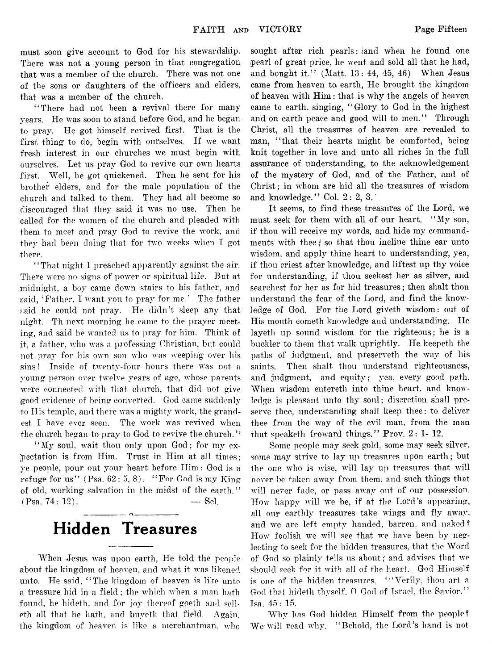must soon give account to God for his stewardship. There was not a young person in that congregation that was a member of the church. There was not one of the sons or daughters of the officers and elders, that was a member of the church.

"There had not been a revival there for many years. He was soon to stand before God, and he began to pray. He got himself revived first. That is the first thing to do, begin with ourselves. If we want fresh interest in our churches we must begin with ourselves. Let us pray God to revive our own hearts first. Well, he got quickened. Then he sent for his brother elders, and for the male population of the church and talked to them. They had all become so discouraged that they said it was no use. Then he called for the women of the church and pleaded with them to meet and pray God to revive the work, and they had been doing that for two weeks when I got there.

" That night I preached apparently against the air. There were no signs of power or spiritual life. But at midnight, a boy came down stairs to his father, and said, 'Father, I want you to pray for me.' The father said he could not pray. He didn't sleep any that night, Th next morning he came to the prayer meeting, and said he wanted us to pray for him. Think of it, a father, who was a professing Christian, but could not pray for his own son who was weeping over his sins! Inside of twenty-four hours there was not a young person over twelve years of age, whose parents were connected with that church, that did not give good evidence of being converted. God came suddenly to His temple, and there was a mighty work, the grandest I have ever seen. The work was revived when the church began to pray to God to revive the church.''

"My soul, wait thou only upon God; for my expectation is from Him. Trust in Him at all times; ye people, pour out your heart before Him: God is a refuge for us" (Psa.  $62:5, 8$ ). "For God is my King of old, working salvation in the midst of the earth."  $(Psa. 74: 12)$ .  $-$  Sel.

# **Hidden Treasures**

When Jesus was upon earth, He told the people about the kingdom of heaven, and what it was likened unto. He said, "The kingdom of heaven is like unto a treasure hid in a field; the which when a man hath found, he hideth. and for joy thereof goeth and selleth all that he hath, and buyeth that field. Again, the kingdom of heaven is like a merchantman.  $who$ 

sought after rich pearls: land when he found one pearl of great price, he went and sold all that he had, and bought it." (Matt.  $13: 44, 45, 46$ ) When Jesus came from heaven to earth, He brought the kingdom of heaven with Him: that is why the angels of heaven came to earth, singing, " Glory to God in the highest and on earth peace and good will to men." Through Christ, all the treasures of heaven are revealed to man, "that their hearts might be comforted, being knit together in love and unto all riches in the full assurance of understanding, to the acknowledgement of the mystery of God, and of the Father, and of Christ; in whom are hid all the treasures of wisdom and knowledge." Col. 2: 2, 3.

It seems, to find these treasures of the Lord, we must seek for them with all of our heart. " My son, if thou will receive my words, and hide my commandments with thee; so that thou incline thine ear unto wisdom, and apply thine heart to understanding, yea, if thou eriest after knowledge, and liftest up thy voice for understanding, if thou seekest her as silver, and searchest for her as for hid treasures; then shalt thou understand the fear of the Lord, and find the knowledge of God. For the Lord giveth wisdom: out of His mouth cometh knowledge and understanding. He layeth up sound wisdom for the righteous; he is a buckler to them that walk uprightly. He keepeth the paths of judgment, and preserveth the way of his saints. Then shalt thou understand righteousness, and judgment, and equity; vea, every good path. When wisdom entereth into thine heart, and knowledge is pleasant unto thy soul; discretion shall preserve thee, understanding shall keep thee: to deliver thee from tbe way of the evil man, from the man that speaketh froward things." Prov. 2: 1- 12.

Some people may seek gold, some may seek silver, some may strive to lay up treasures upon earth; but the one who is wise, will lay up treasures that will never be taken away from them, and such things that will never fade, or pass away out of our possession. How happy will we be, if at the Lord's appearing, all our earthly treasures take wings and fly away, and we are left empty handed, barren, and naked? How foolish we will see that we have been by neglecting to seek for the hidden treasures, that the Word of God so plainly tells us about;' and advises that we should seek for it with all of the heart. God Himself is one of the hidden treasures. " 'Verily, thou art a God that hideth thyself. O God of Israel, the Savior." Tsa. 45: 15.

Why has God hidden Himself from the people? We-will read why. "'Behold, the Lord's hand is not